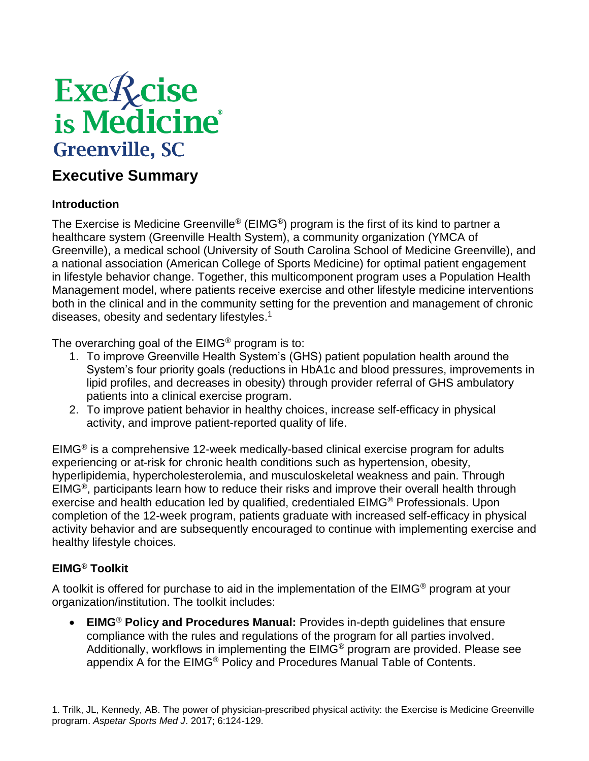# **Exe**<sup>*R*</sup>cise</sup><br>is Medicine **Greenville, SC**

### **Executive Summary**

#### **Introduction**

The Exercise is Medicine Greenville<sup>®</sup> (EIMG<sup>®</sup>) program is the first of its kind to partner a healthcare system (Greenville Health System), a community organization (YMCA of Greenville), a medical school (University of South Carolina School of Medicine Greenville), and a national association (American College of Sports Medicine) for optimal patient engagement in lifestyle behavior change. Together, this multicomponent program uses a Population Health Management model, where patients receive exercise and other lifestyle medicine interventions both in the clinical and in the community setting for the prevention and management of chronic diseases, obesity and sedentary lifestyles. 1

The overarching goal of the EIMG® program is to:

- 1. To improve Greenville Health System's (GHS) patient population health around the System's four priority goals (reductions in HbA1c and blood pressures, improvements in lipid profiles, and decreases in obesity) through provider referral of GHS ambulatory patients into a clinical exercise program.
- 2. To improve patient behavior in healthy choices, increase self-efficacy in physical activity, and improve patient-reported quality of life.

EIMG® is a comprehensive 12-week medically-based clinical exercise program for adults experiencing or at-risk for chronic health conditions such as hypertension, obesity, hyperlipidemia, hypercholesterolemia, and musculoskeletal weakness and pain. Through EIMG®, participants learn how to reduce their risks and improve their overall health through exercise and health education led by qualified, credentialed EIMG® Professionals. Upon completion of the 12-week program, patients graduate with increased self-efficacy in physical activity behavior and are subsequently encouraged to continue with implementing exercise and healthy lifestyle choices.

#### **EIMG**® **Toolkit**

A toolkit is offered for purchase to aid in the implementation of the  $EIMG<sup>®</sup>$  program at your organization/institution. The toolkit includes:

 **EIMG**® **Policy and Procedures Manual:** Provides in-depth guidelines that ensure compliance with the rules and regulations of the program for all parties involved. Additionally, workflows in implementing the EIMG® program are provided. Please see appendix A for the EIMG® Policy and Procedures Manual Table of Contents.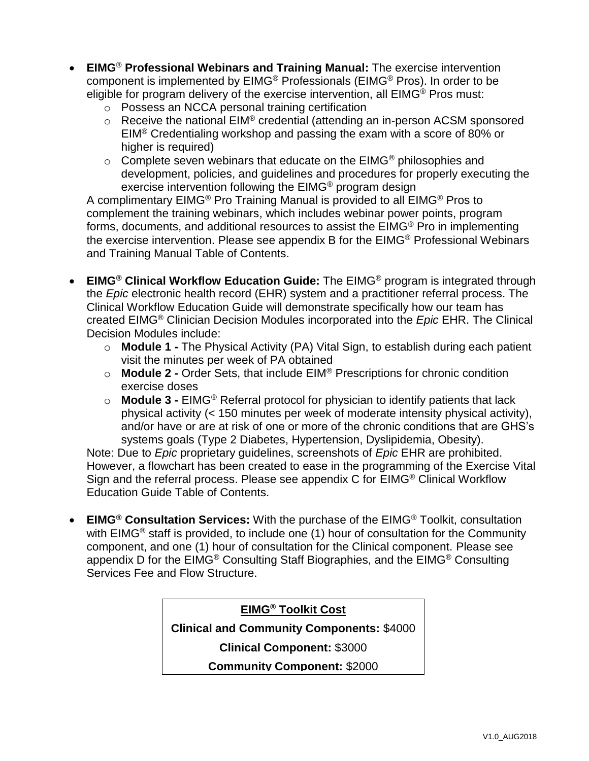- **EIMG**® **Professional Webinars and Training Manual:** The exercise intervention component is implemented by EIMG® Professionals (EIMG® Pros). In order to be eligible for program delivery of the exercise intervention, all EIMG® Pros must:
	- o Possess an NCCA personal training certification
	- $\circ$  Receive the national EIM® credential (attending an in-person ACSM sponsored EIM® Credentialing workshop and passing the exam with a score of 80% or higher is required)
	- $\circ$  Complete seven webinars that educate on the EIMG<sup>®</sup> philosophies and development, policies, and guidelines and procedures for properly executing the exercise intervention following the EIMG® program design

A complimentary EIMG<sup>®</sup> Pro Training Manual is provided to all EIMG<sup>®</sup> Pros to complement the training webinars, which includes webinar power points, program forms, documents, and additional resources to assist the EIMG® Pro in implementing the exercise intervention. Please see appendix B for the EIMG® Professional Webinars and Training Manual Table of Contents.

- **EIMG® Clinical Workflow Education Guide:** The EIMG® program is integrated through the *Epic* electronic health record (EHR) system and a practitioner referral process. The Clinical Workflow Education Guide will demonstrate specifically how our team has created EIMG® Clinician Decision Modules incorporated into the *Epic* EHR. The Clinical Decision Modules include:
	- o **Module 1 -** The Physical Activity (PA) Vital Sign, to establish during each patient visit the minutes per week of PA obtained
	- o **Module 2 -** Order Sets, that include EIM® Prescriptions for chronic condition exercise doses
	- o **Module 3 -** EIMG® Referral protocol for physician to identify patients that lack physical activity (< 150 minutes per week of moderate intensity physical activity), and/or have or are at risk of one or more of the chronic conditions that are GHS's systems goals (Type 2 Diabetes, Hypertension, Dyslipidemia, Obesity).

Note: Due to *Epic* proprietary guidelines, screenshots of *Epic* EHR are prohibited. However, a flowchart has been created to ease in the programming of the Exercise Vital Sign and the referral process. Please see appendix C for EIMG® Clinical Workflow Education Guide Table of Contents.

 **EIMG® Consultation Services:** With the purchase of the EIMG® Toolkit, consultation with EIMG® staff is provided, to include one (1) hour of consultation for the Community component, and one (1) hour of consultation for the Clinical component. Please see appendix D for the EIMG® Consulting Staff Biographies, and the EIMG® Consulting Services Fee and Flow Structure.

#### **EIMG® Toolkit Cost**

**Clinical and Community Components:** \$4000

**Clinical Component:** \$3000

**Community Component:** \$2000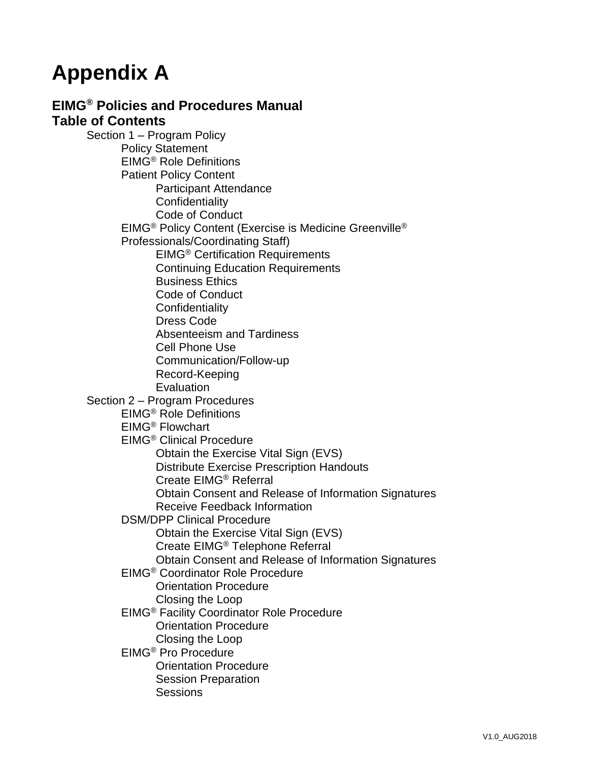## **Appendix A**

#### **EIMG® Policies and Procedures Manual Table of Contents**

Section 1 – Program Policy Policy Statement EIMG® Role Definitions Patient Policy Content Participant Attendance **Confidentiality** Code of Conduct EIMG® Policy Content (Exercise is Medicine Greenville® Professionals/Coordinating Staff) EIMG® Certification Requirements Continuing Education Requirements Business Ethics Code of Conduct **Confidentiality** Dress Code Absenteeism and Tardiness Cell Phone Use Communication/Follow-up Record-Keeping Evaluation Section 2 – Program Procedures EIMG® Role Definitions EIMG® Flowchart EIMG® Clinical Procedure Obtain the Exercise Vital Sign (EVS) Distribute Exercise Prescription Handouts Create EIMG® Referral Obtain Consent and Release of Information Signatures Receive Feedback Information DSM/DPP Clinical Procedure Obtain the Exercise Vital Sign (EVS) Create EIMG® Telephone Referral Obtain Consent and Release of Information Signatures EIMG® Coordinator Role Procedure Orientation Procedure Closing the Loop EIMG® Facility Coordinator Role Procedure Orientation Procedure Closing the Loop EIMG® Pro Procedure Orientation Procedure Session Preparation **Sessions**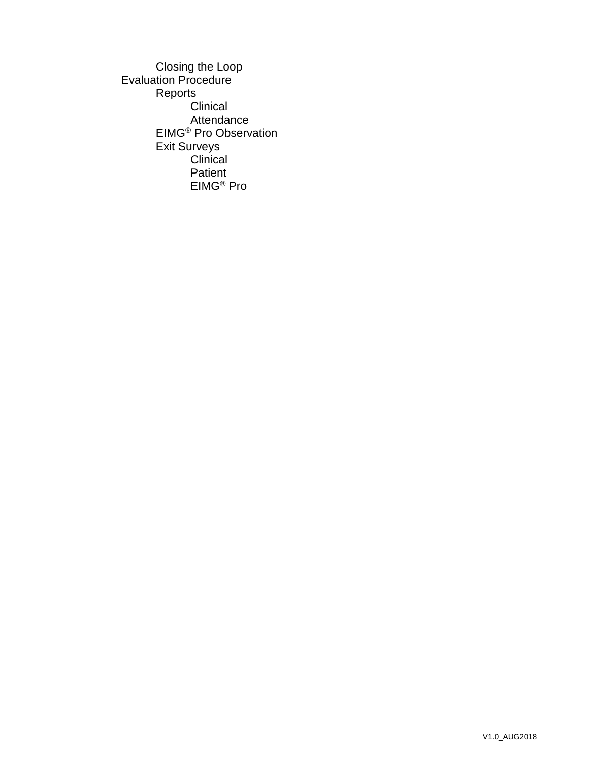Closing the Loop Evaluation Procedure Reports **Clinical** Attendance EIMG® Pro Observation Exit Surveys Clinical Patient EIMG® Pro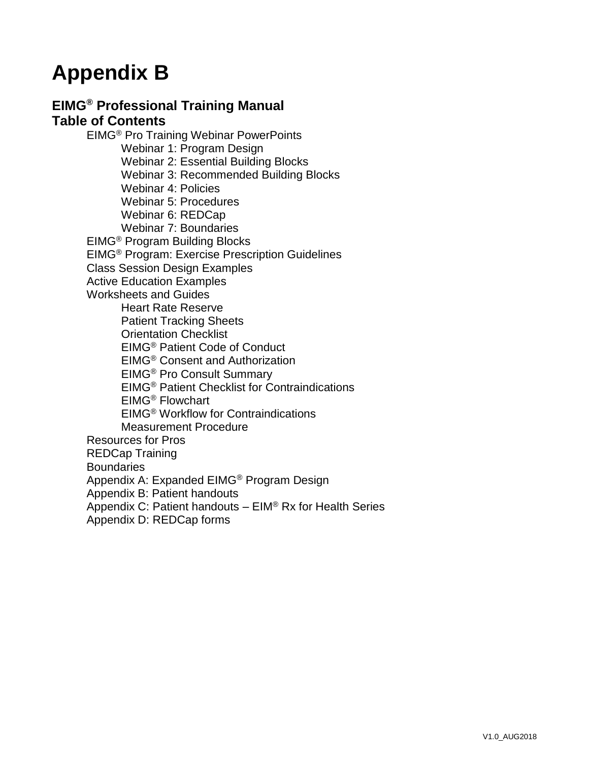### **Appendix B**

#### **EIMG® Professional Training Manual Table of Contents**

EIMG® Pro Training Webinar PowerPoints Webinar 1: Program Design Webinar 2: Essential Building Blocks Webinar 3: Recommended Building Blocks Webinar 4: Policies Webinar 5: Procedures Webinar 6: REDCap Webinar 7: Boundaries EIMG® Program Building Blocks EIMG® Program: Exercise Prescription Guidelines Class Session Design Examples Active Education Examples Worksheets and Guides Heart Rate Reserve Patient Tracking Sheets Orientation Checklist EIMG® Patient Code of Conduct EIMG® Consent and Authorization EIMG® Pro Consult Summary EIMG® Patient Checklist for Contraindications EIMG® Flowchart EIMG® Workflow for Contraindications Measurement Procedure Resources for Pros REDCap Training **Boundaries** Appendix A: Expanded EIMG® Program Design Appendix B: Patient handouts Appendix C: Patient handouts – EIM® Rx for Health Series Appendix D: REDCap forms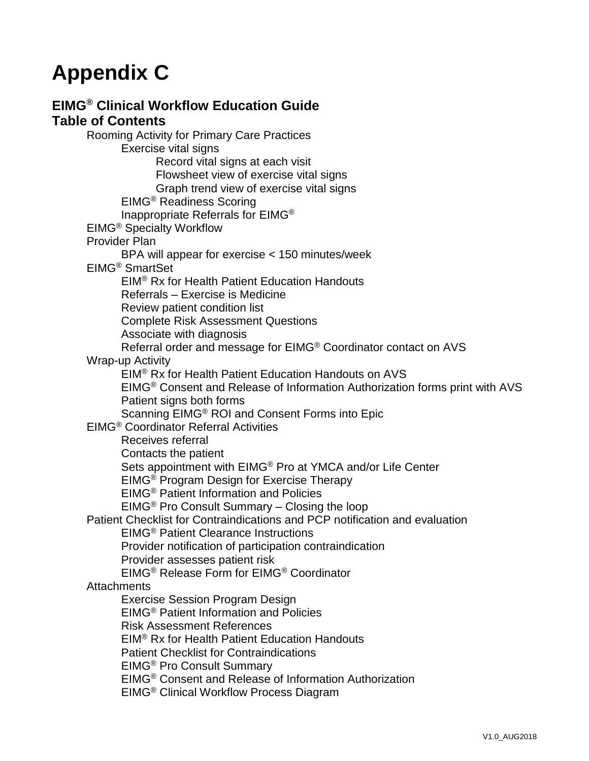# **Appendix C**

#### **EIMG® Clinical Workflow Education Guide Table of Contents**

Rooming Activity for Primary Care Practices Exercise vital signs Record vital signs at each visit Flowsheet view of exercise vital signs Graph trend view of exercise vital signs EIMG® Readiness Scoring Inappropriate Referrals for EIMG® EIMG® Specialty Workflow Provider Plan BPA will appear for exercise < 150 minutes/week EIMG® SmartSet EIM® Rx for Health Patient Education Handouts Referrals – Exercise is Medicine Review patient condition list Complete Risk Assessment Questions Associate with diagnosis Referral order and message for EIMG® Coordinator contact on AVS Wrap-up Activity EIM® Rx for Health Patient Education Handouts on AVS EIMG® Consent and Release of Information Authorization forms print with AVS Patient signs both forms Scanning EIMG® ROI and Consent Forms into Epic EIMG® Coordinator Referral Activities Receives referral Contacts the patient Sets appointment with EIMG® Pro at YMCA and/or Life Center EIMG® Program Design for Exercise Therapy EIMG® Patient Information and Policies EIMG® Pro Consult Summary – Closing the loop Patient Checklist for Contraindications and PCP notification and evaluation EIMG® Patient Clearance Instructions Provider notification of participation contraindication Provider assesses patient risk EIMG® Release Form for EIMG® Coordinator **Attachments** Exercise Session Program Design EIMG® Patient Information and Policies Risk Assessment References EIM® Rx for Health Patient Education Handouts Patient Checklist for Contraindications EIMG® Pro Consult Summary EIMG® Consent and Release of Information Authorization EIMG® Clinical Workflow Process Diagram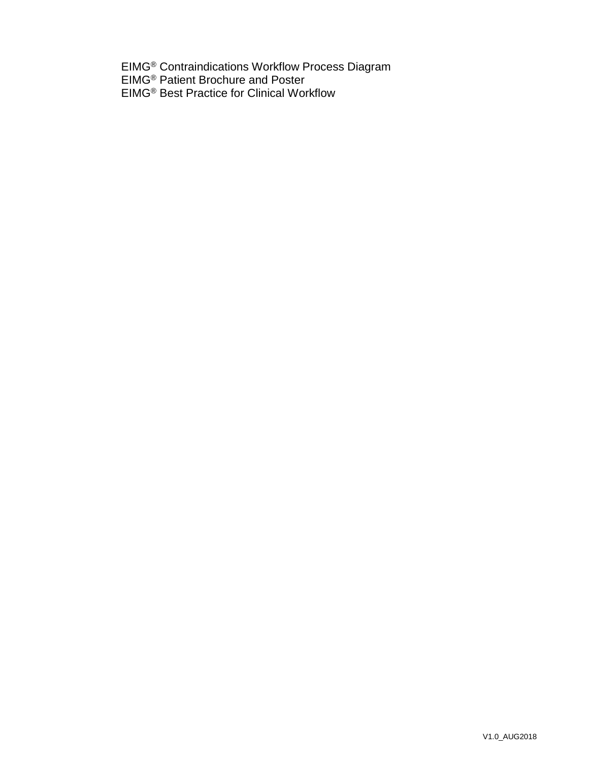EIMG® Contraindications Workflow Process Diagram EIMG® Patient Brochure and Poster EIMG® Best Practice for Clinical Workflow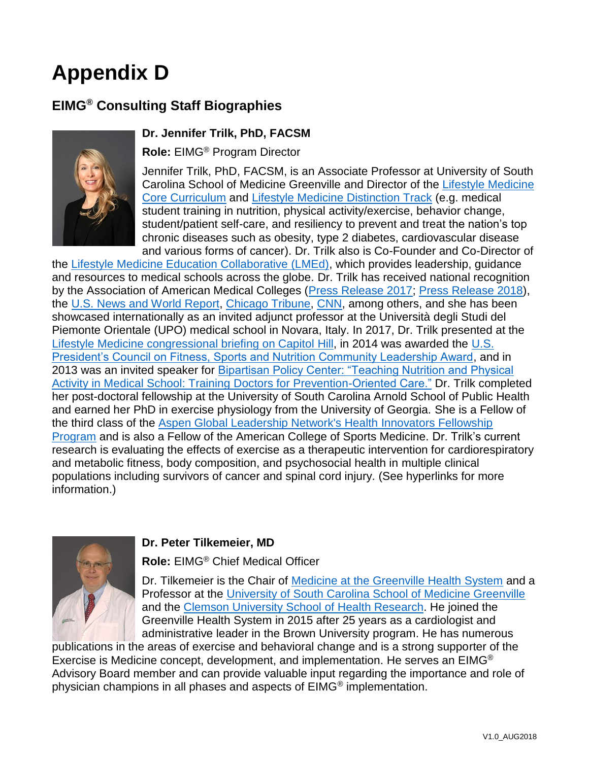# **Appendix D**

### **EIMG® Consulting Staff Biographies**



#### **Dr. Jennifer Trilk, PhD, FACSM**

**Role:** EIMG® Program Director

Jennifer Trilk, PhD, FACSM, is an Associate Professor at University of South Carolina School of Medicine Greenville and Director of the [Lifestyle Medicine](https://sc.edu/study/colleges_schools/medicine_greenville/curriculum/lifestylemed.php)  [Core Curriculum](https://sc.edu/study/colleges_schools/medicine_greenville/curriculum/lifestylemed.php) and [Lifestyle Medicine Distinction Track](https://sc.edu/study/colleges_schools/medicine_greenville/curriculum/distinctiontracks/lifestylemedicine.php) (e.g. medical student training in nutrition, physical activity/exercise, behavior change, student/patient self-care, and resiliency to prevent and treat the nation's top chronic diseases such as obesity, type 2 diabetes, cardiovascular disease and various forms of cancer). Dr. Trilk also is Co-Founder and Co-Director of

the [Lifestyle Medicine Education Collaborative \(LMEd\),](http://www.lifestylemedicineeducation.org/) which provides leadership, guidance and resources to medical schools across the globe. Dr. Trilk has received national recognition by the Association of American Medical Colleges [\(Press Release 2017;](https://students-residents.aamc.org/applying-medical-school/article/lifestyle-medicine-usc-school-medicine-greenville/) [Press Release 2018\)](https://wire.ama-assn.org/education/schools-push-lifestyle-medicine-boost-chronic-disease-prevention), the [U.S. News and World Report,](https://www.amazon.com/Best-Graduate-Schools-2015-Available/dp/1931469636) [Chicago Tribune,](ttp://www.chicagotribune.com/lifestyles/health/sc-doctors-diet-nutrition-health-0803-20160801-story.html) [CNN,](http://www.cnn.com/2016/11/08/health/prescribing-exercise-as-medicine/index.html) among others, and she has been showcased internationally as an invited adjunct professor at the Università degli Studi del Piemonte Orientale (UPO) medical school in Novara, Italy. In 2017, Dr. Trilk presented at the [Lifestyle Medicine congressional briefing on Capitol](https://www.acpm.org/page/lmbriefing) Hill, in 2014 was awarded the [U.S.](https://www.hhs.gov/fitness/programs-and-awards/council-awards/pcfsn-community-leadership-award/index.html)  [President's Council on Fitness, Sports and Nutrition Community Leadership Award,](https://www.hhs.gov/fitness/programs-and-awards/council-awards/pcfsn-community-leadership-award/index.html) and in 2013 was an invited speaker for **Bipartisan Policy Center: "Teaching Nutrition and Physical** [Activity in Medical School: Training Doctors for Prevention-Oriented Care."](https://bipartisanpolicy.org/events/teaching-nutrition-and-physical-activity-medical-school-training-doctors-prevention/) Dr. Trilk completed her post-doctoral fellowship at the University of South Carolina Arnold School of Public Health and earned her PhD in exercise physiology from the University of Georgia. She is a Fellow of the third class of the [Aspen Global Leadership Network's Health Innovators Fellowship](https://agln.aspeninstitute.org/fellowships/healthinnovators/classIII)  [Program](https://agln.aspeninstitute.org/fellowships/healthinnovators/classIII) and is also a Fellow of the American College of Sports Medicine. Dr. Trilk's current research is evaluating the effects of exercise as a therapeutic intervention for cardiorespiratory and metabolic fitness, body composition, and psychosocial health in multiple clinical populations including survivors of cancer and spinal cord injury. (See hyperlinks for more information.)



#### **Dr. Peter Tilkemeier, MD**

**Role:** EIMG® Chief Medical Officer

Dr. Tilkemeier is the Chair of [Medicine at the Greenville Health System](http://www.ghs.org/healthcareservices/medicine/) and a Professor at the [University of South Carolina School of Medicine Greenville](https://sc.edu/study/colleges_schools/medicine_greenville/index.php) and the [Clemson University School of Health Research.](http://www.clemson.edu/health-research/) He joined the Greenville Health System in 2015 after 25 years as a cardiologist and administrative leader in the Brown University program. He has numerous

publications in the areas of exercise and behavioral change and is a strong supporter of the Exercise is Medicine concept, development, and implementation. He serves an EIMG® Advisory Board member and can provide valuable input regarding the importance and role of physician champions in all phases and aspects of EIMG® implementation.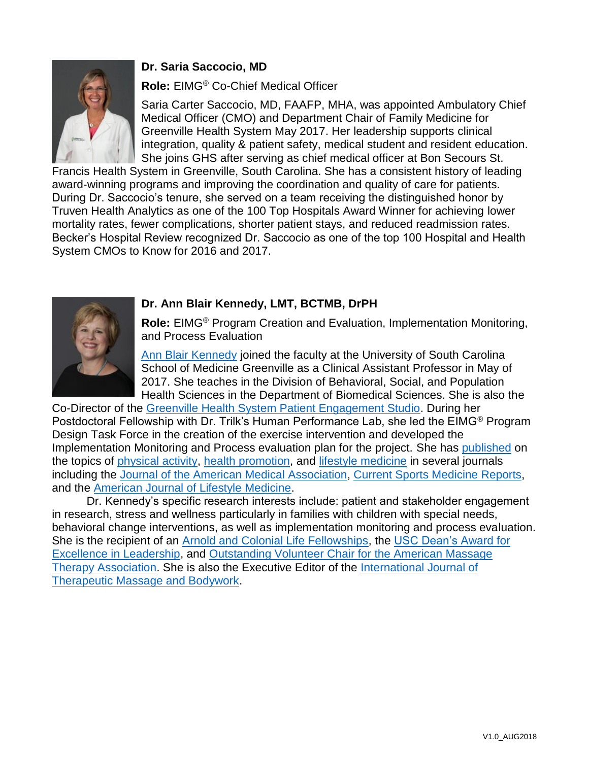#### **Dr. Saria Saccocio, MD**



#### **Role:** EIMG® Co-Chief Medical Officer

Saria Carter Saccocio, MD, FAAFP, MHA, was appointed Ambulatory Chief Medical Officer (CMO) and Department Chair of Family Medicine for Greenville Health System May 2017. Her leadership supports clinical integration, quality & patient safety, medical student and resident education. She joins GHS after serving as chief medical officer at Bon Secours St.

Francis Health System in Greenville, South Carolina. She has a consistent history of leading award-winning programs and improving the coordination and quality of care for patients. During Dr. Saccocio's tenure, she served on a team receiving the distinguished honor by Truven Health Analytics as one of the 100 Top Hospitals Award Winner for achieving lower mortality rates, fewer complications, shorter patient stays, and reduced readmission rates. Becker's Hospital Review recognized Dr. Saccocio as one of the top 100 Hospital and Health System CMOs to Know for 2016 and 2017.



#### **Dr. Ann Blair Kennedy, LMT, BCTMB, DrPH**

**Role:** EIMG® Program Creation and Evaluation, Implementation Monitoring, and Process Evaluation

[Ann Blair Kennedy](https://sc.edu/study/colleges_schools/medicine_greenville/faculty/faculty/profile.php?id=452) joined the faculty at the University of South Carolina School of Medicine Greenville as a Clinical Assistant Professor in May of 2017. She teaches in the Division of Behavioral, Social, and Population Health Sciences in the Department of Biomedical Sciences. She is also the

Co-Director of the [Greenville Health System Patient Engagement Studio.](https://hsc.ghs.org/research/pes/) During her Postdoctoral Fellowship with Dr. Trilk's Human Performance Lab, she led the EIMG® Program Design Task Force in the creation of the exercise intervention and developed the Implementation Monitoring and Process evaluation plan for the project. She has [published](https://scholar.google.com/citations?hl=en&user=T-lgyJcAAAAJ&view_op=list_works&gmla=AJsN-F5KweEB28zCAQSIUi8H7IgcfovJ-B_t4MexxCCQS091l7EoKQDZiaeFyNXw1692vGtirOKkVhUEHGtMJGdKyz6UpYr-8jNBaGfpR16C4CrcaTZE7Y0&scilu=&scisig=AMstHGQAAAAAW1h5Q-V5Uyt7b-t_vnj9HkdUPXA-EukS&gmla=AJsN-F7QDsMs3k0EneOKItsQ8AwearSjyKjoWGRp2jHVvNOac0aXwXrMTWZtJOQ75aKdDZVo6gmszZXewGM3kdasNAmhFGJYO65MAiAXZ-JghA3ajtiqyf4&sciund=16865036732999365003) on the topics of [physical activity, health promotion,](http://journals.sagepub.com/doi/abs/10.1177/1559827614564546) and [lifestyle medicine](http://journals.sagepub.com/doi/abs/10.1177/1559827614564546) in several journals including the [Journal of the American Medical Association,](https://jamanetwork.com/journals/jama/article-abstract/2669739) [Current Sports Medicine Reports,](http://journals.sagepub.com/doi/abs/10.1177/1559827614564546) and the [American Journal of Lifestyle Medicine.](http://journals.sagepub.com/doi/abs/10.1177/1559827614564546)

Dr. Kennedy's specific research interests include: patient and stakeholder engagement in research, stress and wellness particularly in families with children with special needs, behavioral change interventions, as well as implementation monitoring and process evaluation. She is the recipient of an [Arnold and Colonial Life Fellowships,](https://www.sc.edu/study/colleges_schools/public_health/giving/index.php) the [USC Dean's Award for](http://journals.sagepub.com/doi/abs/10.1177/1559827614564546)  [Excellence in Leadership,](http://journals.sagepub.com/doi/abs/10.1177/1559827614564546) and [Outstanding Volunteer Chair for the American Massage](https://www.amtamassage.org/About-AMTA/national_recipients.html)  [Therapy Association.](https://www.amtamassage.org/About-AMTA/national_recipients.html) She is also the Executive Editor of the [International Journal of](http://ijtmb.org/index.php/ijtmb/about/editorialTeam)  [Therapeutic Massage and Bodywork.](http://ijtmb.org/index.php/ijtmb/about/editorialTeam)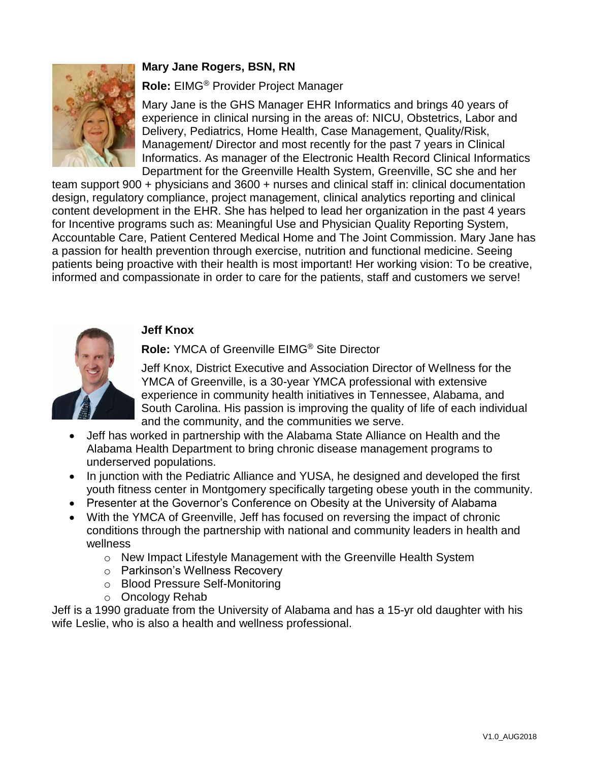#### **Mary Jane Rogers, BSN, RN**



**Role:** EIMG® Provider Project Manager

Mary Jane is the GHS Manager EHR Informatics and brings 40 years of experience in clinical nursing in the areas of: NICU, Obstetrics, Labor and Delivery, Pediatrics, Home Health, Case Management, Quality/Risk, Management/ Director and most recently for the past 7 years in Clinical Informatics. As manager of the Electronic Health Record Clinical Informatics Department for the Greenville Health System, Greenville, SC she and her

team support 900 + physicians and 3600 + nurses and clinical staff in: clinical documentation design, regulatory compliance, project management, clinical analytics reporting and clinical content development in the EHR. She has helped to lead her organization in the past 4 years for Incentive programs such as: Meaningful Use and Physician Quality Reporting System, Accountable Care, Patient Centered Medical Home and The Joint Commission. Mary Jane has a passion for health prevention through exercise, nutrition and functional medicine. Seeing patients being proactive with their health is most important! Her working vision: To be creative, informed and compassionate in order to care for the patients, staff and customers we serve!

#### **Jeff Knox**



**Role:** YMCA of Greenville EIMG® Site Director

Jeff Knox, District Executive and Association Director of Wellness for the YMCA of Greenville, is a 30-year YMCA professional with extensive experience in community health initiatives in Tennessee, Alabama, and South Carolina. His passion is improving the quality of life of each individual and the community, and the communities we serve.

- Jeff has worked in partnership with the Alabama State Alliance on Health and the Alabama Health Department to bring chronic disease management programs to underserved populations.
- In junction with the Pediatric Alliance and YUSA, he designed and developed the first youth fitness center in Montgomery specifically targeting obese youth in the community.
- Presenter at the Governor's Conference on Obesity at the University of Alabama
- With the YMCA of Greenville, Jeff has focused on reversing the impact of chronic conditions through the partnership with national and community leaders in health and wellness
	- o New Impact Lifestyle Management with the Greenville Health System
	- o Parkinson's Wellness Recovery
	- o Blood Pressure Self-Monitoring
	- o Oncology Rehab

Jeff is a 1990 graduate from the University of Alabama and has a 15-yr old daughter with his wife Leslie, who is also a health and wellness professional.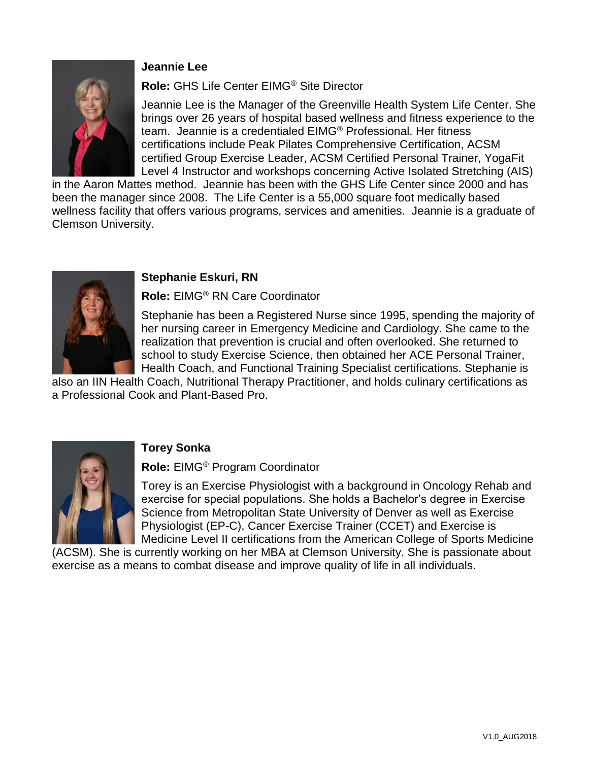#### **Jeannie Lee**



#### **Role:** GHS Life Center EIMG® Site Director

Jeannie Lee is the Manager of the Greenville Health System Life Center. She brings over 26 years of hospital based wellness and fitness experience to the team. Jeannie is a credentialed EIMG® Professional. Her fitness certifications include Peak Pilates Comprehensive Certification, ACSM certified Group Exercise Leader, ACSM Certified Personal Trainer, YogaFit Level 4 Instructor and workshops concerning Active Isolated Stretching (AIS)

in the Aaron Mattes method. Jeannie has been with the GHS Life Center since 2000 and has been the manager since 2008. The Life Center is a 55,000 square foot medically based wellness facility that offers various programs, services and amenities. Jeannie is a graduate of Clemson University.



#### **Stephanie Eskuri, RN**

**Role:** EIMG® RN Care Coordinator

Stephanie has been a Registered Nurse since 1995, spending the majority of her nursing career in Emergency Medicine and Cardiology. She came to the realization that prevention is crucial and often overlooked. She returned to school to study Exercise Science, then obtained her ACE Personal Trainer, Health Coach, and Functional Training Specialist certifications. Stephanie is

also an IIN Health Coach, Nutritional Therapy Practitioner, and holds culinary certifications as a Professional Cook and Plant-Based Pro.



#### **Torey Sonka**

**Role:** EIMG® Program Coordinator

Torey is an Exercise Physiologist with a background in Oncology Rehab and exercise for special populations. She holds a Bachelor's degree in Exercise Science from Metropolitan State University of Denver as well as Exercise Physiologist (EP-C), Cancer Exercise Trainer (CCET) and Exercise is Medicine Level II certifications from the American College of Sports Medicine

(ACSM). She is currently working on her MBA at Clemson University. She is passionate about exercise as a means to combat disease and improve quality of life in all individuals.